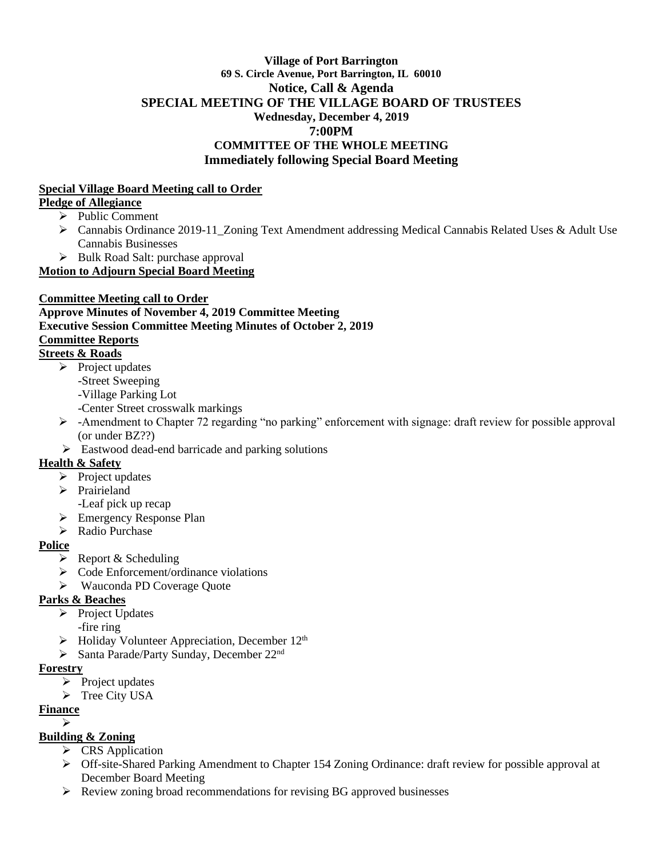### **Village of Port Barrington 69 S. Circle Avenue, Port Barrington, IL 60010 Notice, Call & Agenda SPECIAL MEETING OF THE VILLAGE BOARD OF TRUSTEES Wednesday, December 4, 2019 7:00PM COMMITTEE OF THE WHOLE MEETING Immediately following Special Board Meeting**

### **Special Village Board Meeting call to Order**

### **Pledge of Allegiance**

- ➢ Public Comment
- ➢ Cannabis Ordinance 2019-11\_Zoning Text Amendment addressing Medical Cannabis Related Uses & Adult Use Cannabis Businesses
- ➢ Bulk Road Salt: purchase approval

**Motion to Adjourn Special Board Meeting**

## **Committee Meeting call to Order**

# **Approve Minutes of November 4, 2019 Committee Meeting Executive Session Committee Meeting Minutes of October 2, 2019 Committee Reports**

# **Streets & Roads**

- $\triangleright$  Project updates
	- -Street Sweeping
	- -Village Parking Lot
	- -Center Street crosswalk markings
- ➢ -Amendment to Chapter 72 regarding "no parking" enforcement with signage: draft review for possible approval (or under BZ??)
- ➢ Eastwood dead-end barricade and parking solutions

## **Health & Safety**

- ➢ Project updates
- ➢ Prairieland
	- -Leaf pick up recap
- ➢ Emergency Response Plan
- ➢ Radio Purchase

## **Police**

- $\triangleright$  Report & Scheduling
- ➢ Code Enforcement/ordinance violations
- ➢ Wauconda PD Coverage Quote

## **Parks & Beaches**

- ➢ Project Updates
	- -fire ring
- $\blacktriangleright$  Holiday Volunteer Appreciation, December 12<sup>th</sup>
- ➢ Santa Parade/Party Sunday, December 22nd

### **Forestry**

- $\triangleright$  Project updates
- ➢ Tree City USA

## **Finance**

➢

## **Building & Zoning**

- ➢ CRS Application
- ➢ Off-site-Shared Parking Amendment to Chapter 154 Zoning Ordinance: draft review for possible approval at December Board Meeting
- ➢ Review zoning broad recommendations for revising BG approved businesses